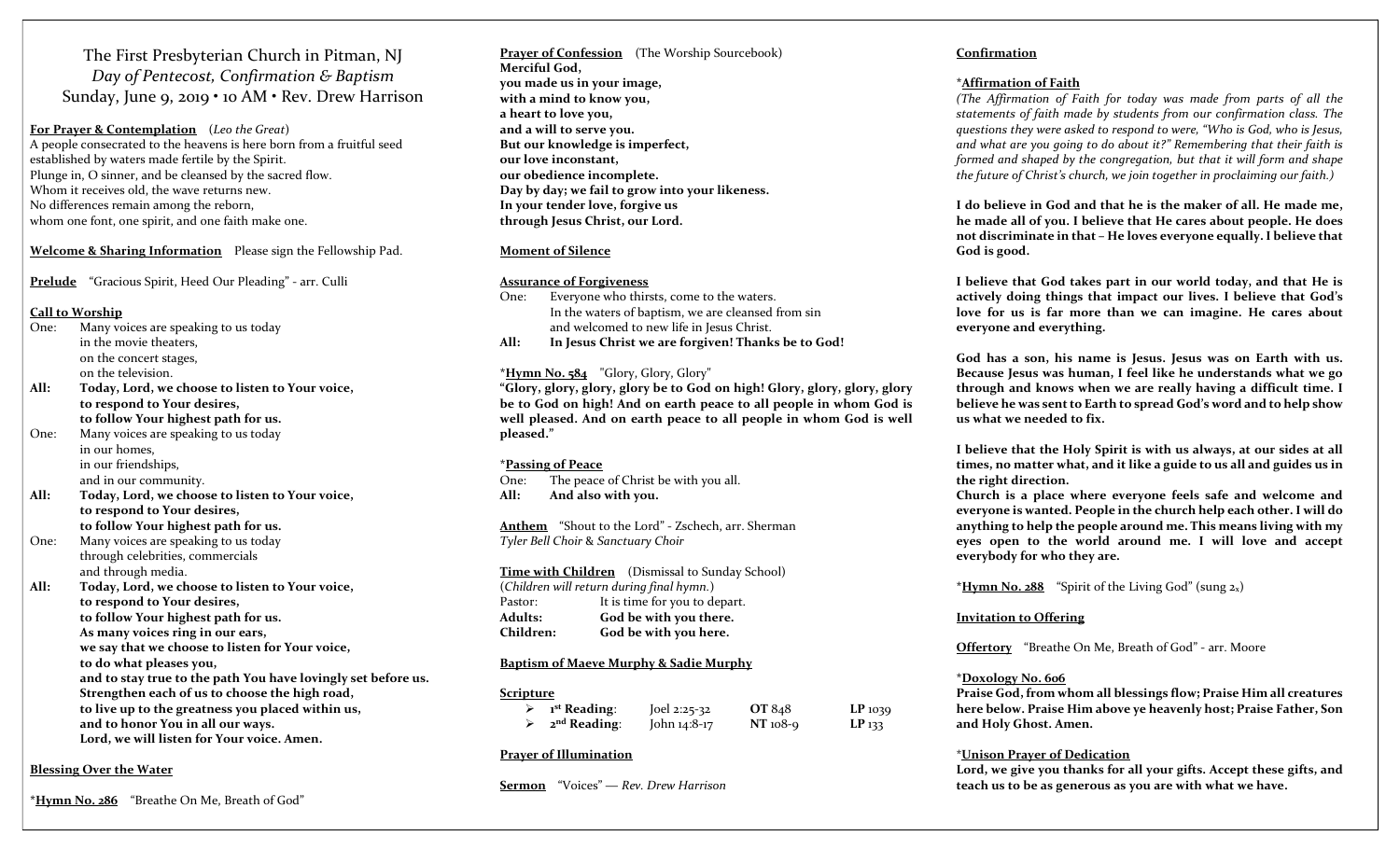The First Presbyterian Church in Pitman, NJ Day of Pentecost, Confirmation & Baptism Sunday, June 9, 2019 • 10 AM • Rev. Drew Harrison

For Prayer & Contemplation (Leo the Great) A people consecrated to the heavens is here born from a fruitful seed established by waters made fertile by the Spirit. Plunge in, O sinner, and be cleansed by the sacred flow. Whom it receives old, the wave returns new. No differences remain among the reborn, whom one font, one spirit, and one faith make one.

#### Welcome & Sharing Information Please sign the Fellowship Pad.

Prelude "Gracious Spirit, Heed Our Pleading" - arr. Culli

#### Call to Worship

- One: Many voices are speaking to us today in the movie theaters, on the concert stages,
- on the television. All: Today, Lord, we choose to listen to Your voice, to respond to Your desires, to follow Your highest path for us.
- One: Many voices are speaking to us today in our homes, in our friendships, and in our community.
- All: Today, Lord, we choose to listen to Your voice, to respond to Your desires, to follow Your highest path for us.
- One: Many voices are speaking to us today through celebrities, commercials and through media.
- All: Today, Lord, we choose to listen to Your voice, to respond to Your desires, to follow Your highest path for us. As many voices ring in our ears, we say that we choose to listen for Your voice, to do what pleases you, and to stay true to the path You have lovingly set before us. Strengthen each of us to choose the high road, to live up to the greatness you placed within us, and to honor You in all our ways. Lord, we will listen for Your voice. Amen.
	-

#### Blessing Over the Water

\*Hymn No. 286 "Breathe On Me, Breath of God"

Prayer of Confession (The Worship Sourcebook) Merciful God, you made us in your image, with a mind to know you, a heart to love you, and a will to serve you. But our knowledge is imperfect, our love inconstant, our obedience incomplete. Day by day; we fail to grow into your likeness. In your tender love, forgive us through Jesus Christ, our Lord.

#### Moment of Silence

#### Assurance of Forgiveness

One: Everyone who thirsts, come to the waters. In the waters of baptism, we are cleansed from sin and welcomed to new life in Jesus Christ.

All: In Jesus Christ we are forgiven! Thanks be to God!

#### $*Hymn No. 584$  "Glory, Glory, Glory"

"Glory, glory, glory, glory be to God on high! Glory, glory, glory, glory be to God on high! And on earth peace to all people in whom God is well pleased. And on earth peace to all people in whom God is well pleased."

#### \*Passing of Peace

One: The peace of Christ be with you all. All: And also with you.

Anthem "Shout to the Lord" - Zschech, arr. Sherman Tyler Bell Choir & Sanctuary Choir

Time with Children (Dismissal to Sunday School) (Children will return during final hymn.) Pastor: It is time for you to depart. Adults: God be with you there. Children: God be with you here.

#### Baptism of Maeve Murphy & Sadie Murphy

#### Scripture

| <sup>1st</sup> Reading: | Joel 2:25-32 | OT 848     | $LP$ 1039 |
|-------------------------|--------------|------------|-----------|
| $2nd$ Reading:          | John 14:8-17 | $NT$ 108-9 | $LP$ 133  |

#### Prayer of Illumination

Sermon "Voices" — Rev. Drew Harrison

#### Confirmation

#### \*Affirmation of Faith

(The Affirmation of Faith for today was made from parts of all the statements of faith made by students from our confirmation class. The questions they were asked to respond to were, "Who is God, who is Jesus, and what are you going to do about it?" Remembering that their faith is formed and shaped by the congregation, but that it will form and shape the future of Christ's church, we join together in proclaiming our faith.)

I do believe in God and that he is the maker of all. He made me, he made all of you. I believe that He cares about people. He does not discriminate in that – He loves everyone equally. I believe that God is good.

I believe that God takes part in our world today, and that He is actively doing things that impact our lives. I believe that God's love for us is far more than we can imagine. He cares about everyone and everything.

God has a son, his name is Jesus. Jesus was on Earth with us. Because Jesus was human, I feel like he understands what we go through and knows when we are really having a difficult time. I believe he was sent to Earth to spread God's word and to help show us what we needed to fix.

I believe that the Holy Spirit is with us always, at our sides at all times, no matter what, and it like a guide to us all and guides us in the right direction.

Church is a place where everyone feels safe and welcome and everyone is wanted. People in the church help each other. I will do anything to help the people around me. This means living with my eyes open to the world around me. I will love and accept everybody for who they are.

\*Hymn No. 288 "Spirit of the Living God" (sung  $2_x$ )

#### Invitation to Offering

Offertory "Breathe On Me, Breath of God" - arr. Moore

#### \*Doxology No. 606

Praise God, from whom all blessings flow; Praise Him all creatures here below. Praise Him above ye heavenly host; Praise Father, Son and Holy Ghost. Amen.

#### \*Unison Prayer of Dedication

Lord, we give you thanks for all your gifts. Accept these gifts, and teach us to be as generous as you are with what we have.